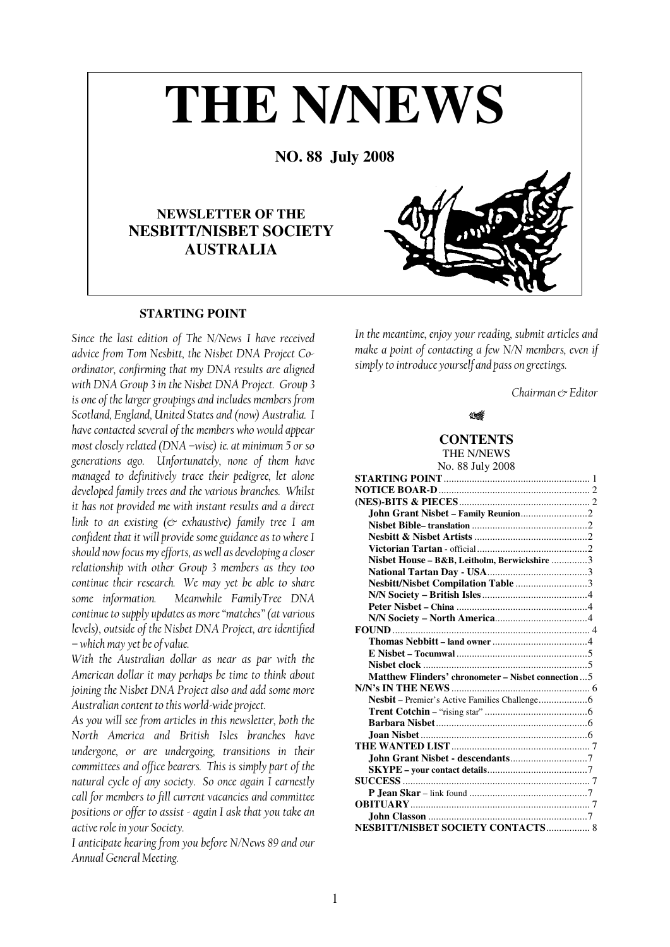# **THE N/NEWS**

**NO. 88 July 2008** 

# **NEWSLETTER OF THE NESBITT/NISBET SOCIETY AUSTRALIA**

# **STARTING POINT**

Since the last edition of The N/News I have received advice from Tom Nesbitt, the Nisbet DNA Project Coordinator, confirming that my DNA results are aligned with DNA Group 3 in the Nisbet DNA Project. Group 3 is one of the larger groupings and includes members from Scotland, England, United States and (now) Australia. I have contacted several of the members who would appear most closely related (DNA –wise) ie. at minimum 5 or so generations ago. Unfortunately, none of them have managed to definitively trace their pedigree, let alone developed family trees and the various branches. Whilst it has not provided me with instant results and a direct link to an existing ( $\infty$  exhaustive) family tree I am confident that it will provide some guidance as to where I should now focus my efforts, as well as developing a closer relationship with other Group 3 members as they too continue their research. We may yet be able to share some information. Meanwhile FamilyTree DNA continue to supply updates as more "matches" (at various levels), outside of the Nisbet DNA Project, are identified – which may yet be of value.

With the Australian dollar as near as par with the American dollar it may perhaps be time to think about joining the Nisbet DNA Project also and add some more Australian content to this world-wide project.

As you will see from articles in this newsletter, both the North America and British Isles branches have undergone, or are undergoing, transitions in their committees and office bearers. This is simply part of the natural cycle of any society. So once again I earnestly call for members to fill current vacancies and committee positions or offer to assist - again I ask that you take an active role in your Society.

I anticipate hearing from you before N/News 89 and our Annual General Meeting.

In the meantime, enjoy your reading, submit articles and make a point of contacting a few N/N members, even if simply to introduce yourself and pass on greetings.

Chairman ex Editor



## **CONTENTS**

THE N/NEWS No. 88 July 2008

| Nisbet House - B&B, Leitholm, Berwickshire 3         |  |
|------------------------------------------------------|--|
|                                                      |  |
| Nesbitt/Nisbet Compilation Table 3                   |  |
|                                                      |  |
|                                                      |  |
|                                                      |  |
|                                                      |  |
|                                                      |  |
|                                                      |  |
|                                                      |  |
| Matthew Flinders' chronometer – Nisbet connection  5 |  |
|                                                      |  |
|                                                      |  |
|                                                      |  |
|                                                      |  |
|                                                      |  |
|                                                      |  |
|                                                      |  |
|                                                      |  |
|                                                      |  |
|                                                      |  |
|                                                      |  |
|                                                      |  |
| NESBITT/NISBET SOCIETY CONTACTS 8                    |  |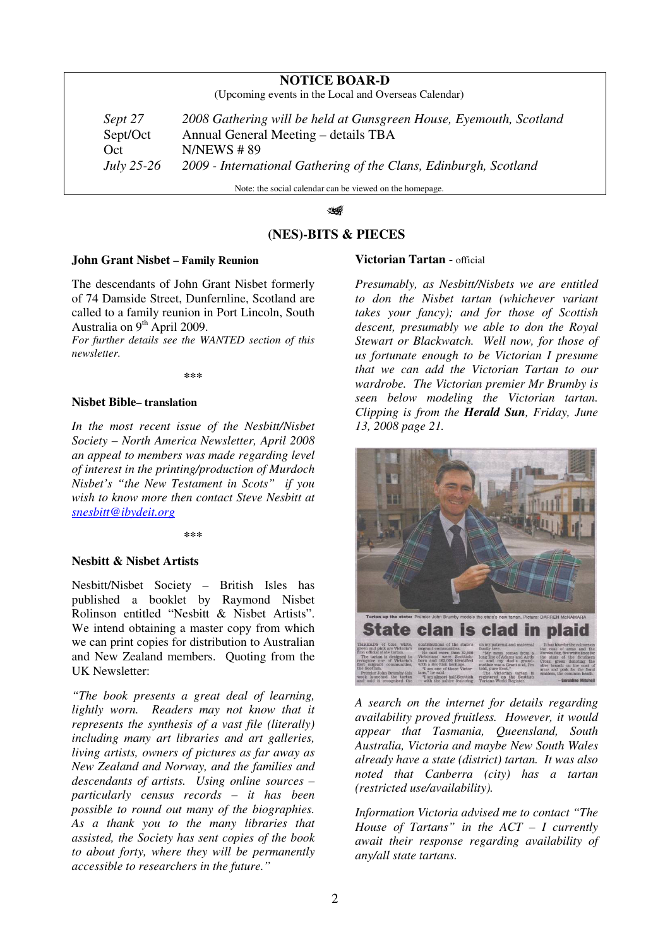# **NOTICE BOAR-D**

(Upcoming events in the Local and Overseas Calendar)

*Sept 27 2008 Gathering will be held at Gunsgreen House, Eyemouth, Scotland*  Sept/Oct Annual General Meeting – details TBA Oct N/NEWS # 89 *July 25-26 2009 - International Gathering of the Clans, Edinburgh, Scotland* 

Note: the social calendar can be viewed on the homepage.

#### 16

# **(NES)-BITS & PIECES**

#### **John Grant Nisbet – Family Reunion**

The descendants of John Grant Nisbet formerly of 74 Damside Street, Dunfernline, Scotland are called to a family reunion in Port Lincoln, South Australia on  $9<sup>th</sup>$  April 2009.

*For further details see the WANTED section of this newsletter.* 

**\*\*\***

## **Nisbet Bible– translation**

*In the most recent issue of the Nesbitt/Nisbet Society – North America Newsletter, April 2008 an appeal to members was made regarding level of interest in the printing/production of Murdoch Nisbet's "the New Testament in Scots" if you wish to know more then contact Steve Nesbitt at snesbitt@ibydeit.org*

**\*\*\***

### **Nesbitt & Nisbet Artists**

Nesbitt/Nisbet Society – British Isles has published a booklet by Raymond Nisbet Rolinson entitled "Nesbitt & Nisbet Artists". We intend obtaining a master copy from which we can print copies for distribution to Australian and New Zealand members. Quoting from the UK Newsletter:

*"The book presents a great deal of learning, lightly worn. Readers may not know that it represents the synthesis of a vast file (literally) including many art libraries and art galleries, living artists, owners of pictures as far away as New Zealand and Norway, and the families and descendants of artists. Using online sources – particularly census records – it has been possible to round out many of the biographies. As a thank you to the many libraries that assisted, the Society has sent copies of the book to about forty, where they will be permanently accessible to researchers in the future."* 

#### **Victorian Tartan** - official

*Presumably, as Nesbitt/Nisbets we are entitled to don the Nisbet tartan (whichever variant takes your fancy); and for those of Scottish descent, presumably we able to don the Royal Stewart or Blackwatch. Well now, for those of us fortunate enough to be Victorian I presume that we can add the Victorian Tartan to our wardrobe. The Victorian premier Mr Brumby is seen below modeling the Victorian tartan. Clipping is from the Herald Sun, Friday, June 13, 2008 page 21.* 



*A search on the internet for details regarding availability proved fruitless. However, it would appear that Tasmania, Queensland, South Australia, Victoria and maybe New South Wales already have a state (district) tartan. It was also noted that Canberra (city) has a tartan (restricted use/availability).* 

*Information Victoria advised me to contact "The House of Tartans" in the ACT – I currently await their response regarding availability of any/all state tartans.*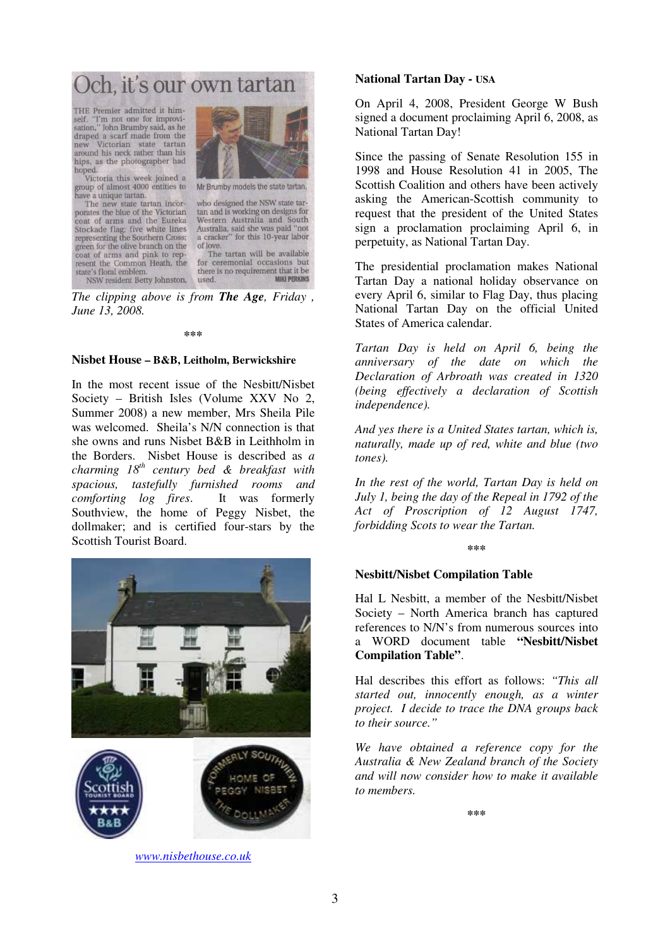Och, it's our own tartan

THE Premier admitted it himself. "I'm not one for improvisation," John Brumby said, as he draped a scarf made from the new Victorian state tartan<br>around his neck rather than his hips, as the photographer had hoped.

Victoria this week joined a group of almost 4000 entities to have a unique tartan.

The new state tartan incor-<br>porates the blue of the Victorian coat of arms and the Eureka Stockade flag; five white lines<br>representing the Southern Cross; green for the olive branch on the coat of arms and pink to represent the Common Heath, the state's floral emblem. NSW resident Betty Johnston,



Mr Brumby models the state tartan.

who designed the NSW state tartan and is working on designs for Western Australia and South Australia, said she was paid "not a cracker" for this 10-year labor of love. The tartan will be available

for ceremonial occasions but there is no requirement that it be **MIKI PERKINS** used.

*The clipping above is from The Age, Friday , June 13, 2008.* 

#### **\*\*\***

#### **Nisbet House – B&B, Leitholm, Berwickshire**

In the most recent issue of the Nesbitt/Nisbet Society – British Isles (Volume XXV No 2, Summer 2008) a new member, Mrs Sheila Pile was welcomed. Sheila's N/N connection is that she owns and runs Nisbet B&B in Leithholm in the Borders. Nisbet House is described as *a charming 18th century bed & breakfast with spacious, tastefully furnished rooms and comforting log fires*. It was formerly Southview, the home of Peggy Nisbet, the dollmaker; and is certified four-stars by the Scottish Tourist Board.



*www.nisbethouse.co.uk*

## **National Tartan Day - USA**

On April 4, 2008, President George W Bush signed a document proclaiming April 6, 2008, as National Tartan Day!

Since the passing of Senate Resolution 155 in 1998 and House Resolution 41 in 2005, The Scottish Coalition and others have been actively asking the American-Scottish community to request that the president of the United States sign a proclamation proclaiming April 6, in perpetuity, as National Tartan Day.

The presidential proclamation makes National Tartan Day a national holiday observance on every April 6, similar to Flag Day, thus placing National Tartan Day on the official United States of America calendar.

*Tartan Day is held on April 6, being the anniversary of the date on which the Declaration of Arbroath was created in 1320 (being effectively a declaration of Scottish independence).* 

*And yes there is a United States tartan, which is, naturally, made up of red, white and blue (two tones).* 

*In the rest of the world, Tartan Day is held on July 1, being the day of the Repeal in 1792 of the Act of Proscription of 12 August 1747, forbidding Scots to wear the Tartan.* 

**\*\*\***

#### **Nesbitt/Nisbet Compilation Table**

Hal L Nesbitt, a member of the Nesbitt/Nisbet Society – North America branch has captured references to N/N's from numerous sources into a WORD document table **"Nesbitt/Nisbet Compilation Table"**.

Hal describes this effort as follows: *"This all started out, innocently enough, as a winter project. I decide to trace the DNA groups back to their source."* 

*We have obtained a reference copy for the Australia & New Zealand branch of the Society and will now consider how to make it available to members.* 

**\*\*\***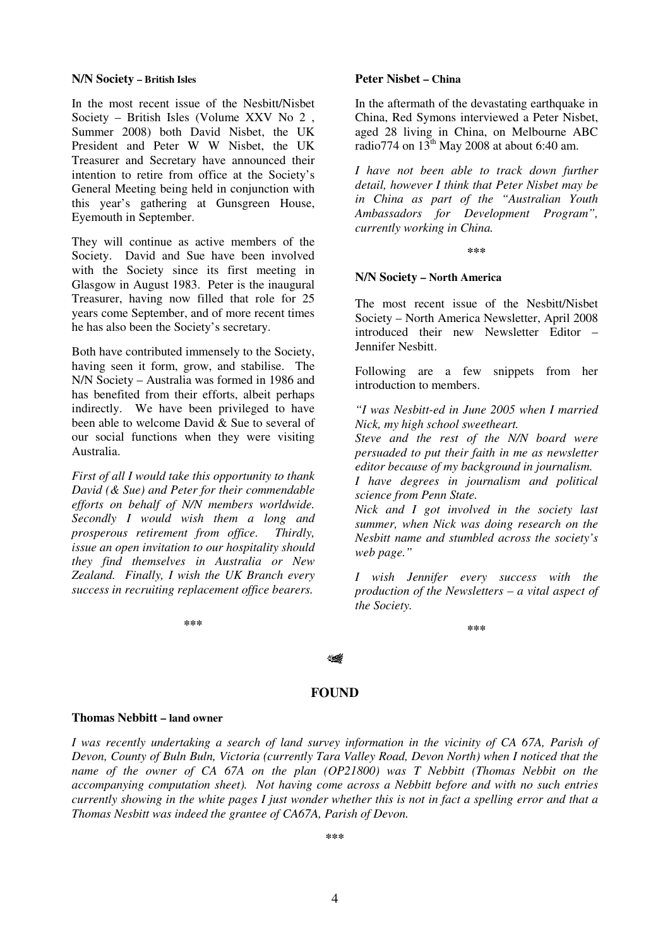#### **N/N Society – British Isles**

In the most recent issue of the Nesbitt/Nisbet Society – British Isles (Volume XXV No 2 , Summer 2008) both David Nisbet, the UK President and Peter W W Nisbet, the UK Treasurer and Secretary have announced their intention to retire from office at the Society's General Meeting being held in conjunction with this year's gathering at Gunsgreen House, Eyemouth in September.

They will continue as active members of the Society. David and Sue have been involved with the Society since its first meeting in Glasgow in August 1983. Peter is the inaugural Treasurer, having now filled that role for 25 years come September, and of more recent times he has also been the Society's secretary.

Both have contributed immensely to the Society, having seen it form, grow, and stabilise. The N/N Society – Australia was formed in 1986 and has benefited from their efforts, albeit perhaps indirectly. We have been privileged to have been able to welcome David & Sue to several of our social functions when they were visiting Australia.

*First of all I would take this opportunity to thank David (& Sue) and Peter for their commendable efforts on behalf of N/N members worldwide. Secondly I would wish them a long and prosperous retirement from office. Thirdly, issue an open invitation to our hospitality should they find themselves in Australia or New Zealand. Finally, I wish the UK Branch every success in recruiting replacement office bearers.* 

**\*\*\***

#### **Peter Nisbet – China**

In the aftermath of the devastating earthquake in China, Red Symons interviewed a Peter Nisbet, aged 28 living in China, on Melbourne ABC radio774 on  $13<sup>th</sup>$  May 2008 at about 6:40 am.

*I have not been able to track down further detail, however I think that Peter Nisbet may be in China as part of the "Australian Youth Ambassadors for Development Program", currently working in China.* 

**\*\*\***

### **N/N Society – North America**

The most recent issue of the Nesbitt/Nisbet Society – North America Newsletter, April 2008 introduced their new Newsletter Editor – Jennifer Nesbitt.

Following are a few snippets from her introduction to members.

*"I was Nesbitt-ed in June 2005 when I married Nick, my high school sweetheart.* 

*Steve and the rest of the N/N board were persuaded to put their faith in me as newsletter editor because of my background in journalism.* 

*I have degrees in journalism and political science from Penn State.* 

*Nick and I got involved in the society last summer, when Nick was doing research on the Nesbitt name and stumbled across the society's web page."* 

*I wish Jennifer every success with the production of the Newsletters – a vital aspect of the Society.* 

**\*\*\***

 $\sqrt{2}$ 

### **FOUND**

#### **Thomas Nebbitt – land owner**

*I was recently undertaking a search of land survey information in the vicinity of CA 67A, Parish of Devon, County of Buln Buln, Victoria (currently Tara Valley Road, Devon North) when I noticed that the name of the owner of CA 67A on the plan (OP21800) was T Nebbitt (Thomas Nebbit on the accompanying computation sheet). Not having come across a Nebbitt before and with no such entries currently showing in the white pages I just wonder whether this is not in fact a spelling error and that a Thomas Nesbitt was indeed the grantee of CA67A, Parish of Devon.*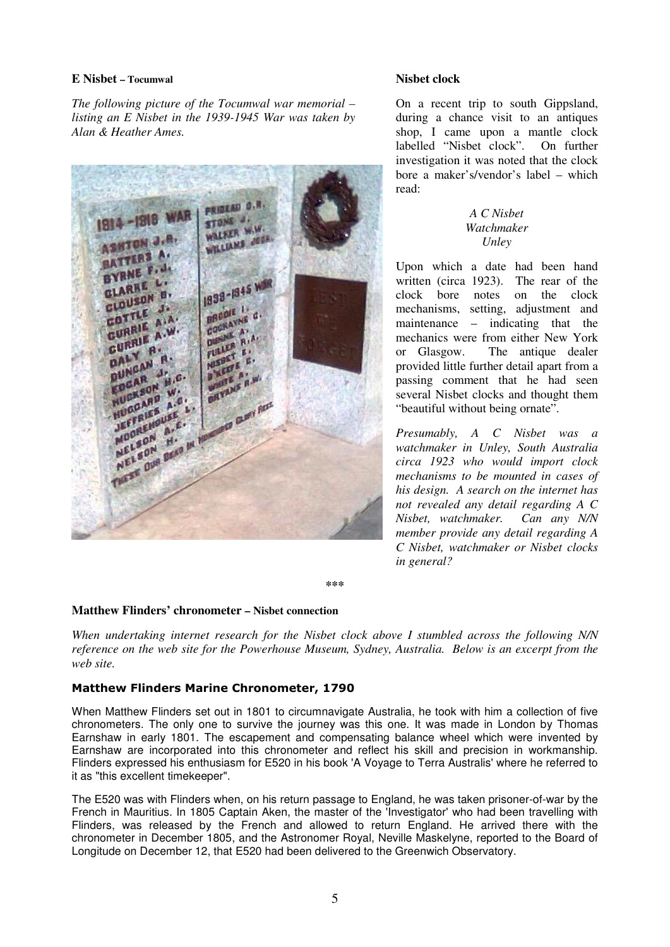## **E Nisbet – Tocumwal**

*The following picture of the Tocumwal war memorial – listing an E Nisbet in the 1939-1945 War was taken by Alan & Heather Ames.* 



## **Nisbet clock**

On a recent trip to south Gippsland, during a chance visit to an antiques shop, I came upon a mantle clock labelled "Nisbet clock". On further investigation it was noted that the clock bore a maker's/vendor's label – which read:

## *A C Nisbet Watchmaker Unley*

Upon which a date had been hand written (circa 1923). The rear of the clock bore notes on the clock mechanisms, setting, adjustment and maintenance – indicating that the mechanics were from either New York or Glasgow. The antique dealer provided little further detail apart from a passing comment that he had seen several Nisbet clocks and thought them "beautiful without being ornate".

*Presumably, A C Nisbet was a watchmaker in Unley, South Australia circa 1923 who would import clock mechanisms to be mounted in cases of his design. A search on the internet has not revealed any detail regarding A C Nisbet, watchmaker. Can any N/N member provide any detail regarding A C Nisbet, watchmaker or Nisbet clocks in general?* 

**\*\*\*** 

# **Matthew Flinders' chronometer – Nisbet connection**

*When undertaking internet research for the Nisbet clock above I stumbled across the following N/N reference on the web site for the Powerhouse Museum, Sydney, Australia. Below is an excerpt from the web site.* 

# Matthew Flinders Marine Chronometer, 1790

When Matthew Flinders set out in 1801 to circumnavigate Australia, he took with him a collection of five chronometers. The only one to survive the journey was this one. It was made in London by Thomas Earnshaw in early 1801. The escapement and compensating balance wheel which were invented by Earnshaw are incorporated into this chronometer and reflect his skill and precision in workmanship. Flinders expressed his enthusiasm for E520 in his book 'A Voyage to Terra Australis' where he referred to it as "this excellent timekeeper".

The E520 was with Flinders when, on his return passage to England, he was taken prisoner-of-war by the French in Mauritius. In 1805 Captain Aken, the master of the 'Investigator' who had been travelling with Flinders, was released by the French and allowed to return England. He arrived there with the chronometer in December 1805, and the Astronomer Royal, Neville Maskelyne, reported to the Board of Longitude on December 12, that E520 had been delivered to the Greenwich Observatory.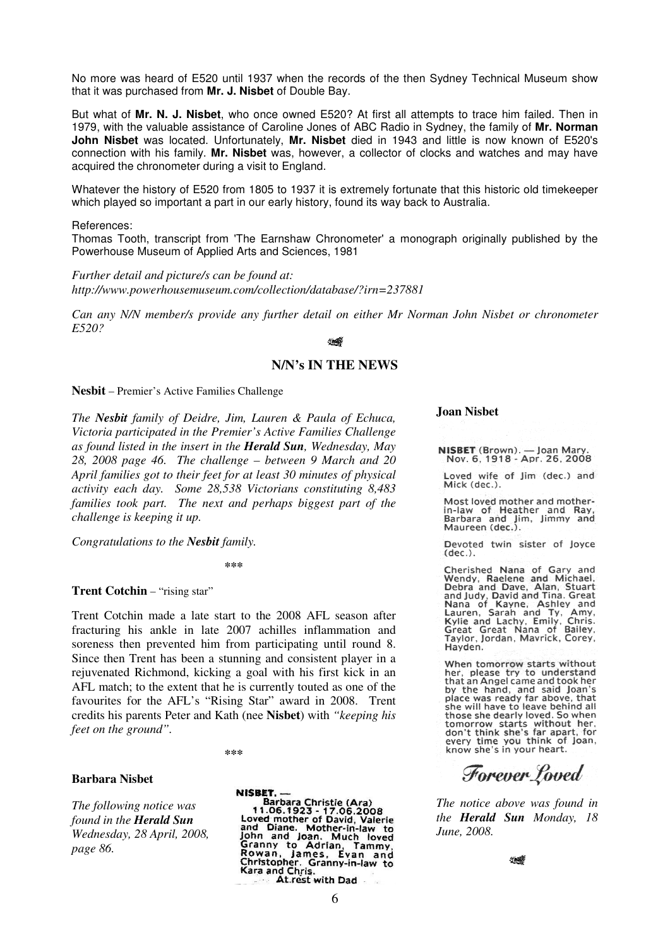No more was heard of E520 until 1937 when the records of the then Sydney Technical Museum show that it was purchased from **Mr. J. Nisbet** of Double Bay.

But what of **Mr. N. J. Nisbet**, who once owned E520? At first all attempts to trace him failed. Then in 1979, with the valuable assistance of Caroline Jones of ABC Radio in Sydney, the family of **Mr. Norman John Nisbet** was located. Unfortunately, **Mr. Nisbet** died in 1943 and little is now known of E520's connection with his family. **Mr. Nisbet** was, however, a collector of clocks and watches and may have acquired the chronometer during a visit to England.

Whatever the history of E520 from 1805 to 1937 it is extremely fortunate that this historic old timekeeper which played so important a part in our early history, found its way back to Australia.

#### References:

Thomas Tooth, transcript from 'The Earnshaw Chronometer' a monograph originally published by the Powerhouse Museum of Applied Arts and Sciences, 1981

*Further detail and picture/s can be found at: http://www.powerhousemuseum.com/collection/database/?irn=237881* 

*Can any N/N member/s provide any further detail on either Mr Norman John Nisbet or chronometer E520?*

#### **SINGS**

#### **N/N's IN THE NEWS**

**Nesbit** – Premier's Active Families Challenge

*The Nesbit family of Deidre, Jim, Lauren & Paula of Echuca, Victoria participated in the Premier's Active Families Challenge as found listed in the insert in the Herald Sun, Wednesday, May 28, 2008 page 46. The challenge – between 9 March and 20 April families got to their feet for at least 30 minutes of physical activity each day. Some 28,538 Victorians constituting 8,483 families took part. The next and perhaps biggest part of the challenge is keeping it up.* 

*Congratulations to the Nesbit family.* 

**\*\*\*** 

**Trent Cotchin** – "rising star"

Trent Cotchin made a late start to the 2008 AFL season after fracturing his ankle in late 2007 achilles inflammation and soreness then prevented him from participating until round 8. Since then Trent has been a stunning and consistent player in a rejuvenated Richmond, kicking a goal with his first kick in an AFL match; to the extent that he is currently touted as one of the favourites for the AFL's "Rising Star" award in 2008. Trent credits his parents Peter and Kath (nee **Nisbet**) with *"keeping his feet on the ground".* 

**\*\*\*** 

#### **Barbara Nisbet**

*The following notice was found in the Herald Sun Wednesday, 28 April, 2008, page 86.* 

NISBET. -**Sarbara Christie (Ara)**<br>1.06.1923 - 17.06.2008<br>Loved mother of David, Valerie<br>and Diane. Mother-in-law to<br>John and Joan. Much loved Four and Joan. Much loved<br>Granny to Adrian, Tammy,<br>Rowan, James, Evan and<br>Christopher. Granny-in-law to<br>Kara and Chris Kara and Chris. At rest with Dad

#### **Joan Nisbet**

NISBET (Brown). - Joan Mary.<br>Nov. 6, 1918 - Apr. 26, 2008

Loved wife of Jim (dec.) and Mick (dec.).

Most loved mother and motherin-law of Heather and Ray,<br>Barbara and Jim, Jimmy and<br>Maureen (dec.).

Devoted twin sister of Joyce  $(dec.).$ 

Cherished Nana of Gary and<br>Wendy, Raelene and Michael,<br>Debra and Dave, Alan, Stuart Bebra and Judy, David and Tina. Great<br>Nana of Kayne, Ashley and<br>Lauren, Sarah and Ty, Amy,<br>Kylie and Lachy, Emily, Chris.<br>Great Great Nana of Bailey,<br>Taylor, Jordan, Mavrick, Corey, Hayden.

When tomorrow starts without her, please try to understand that an Angel came and took her by the hand, and said Joan's<br>place was ready far above, that she will have to leave behind all those she dearly loved. So when tomorrow starts without her,<br>don't think she's far apart, for every time you think of Joan,<br>know she's in your heart.

Forever Loved

*The notice above was found in the Herald Sun Monday, 18 June, 2008.* 

10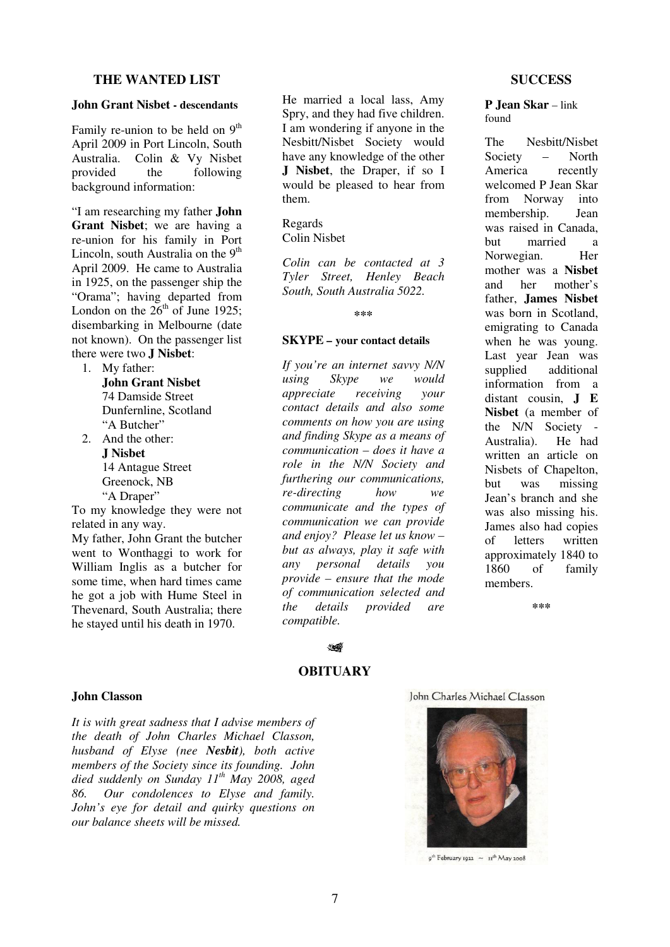## **THE WANTED LIST**

#### **John Grant Nisbet - descendants**

Family re-union to be held on  $9<sup>th</sup>$ April 2009 in Port Lincoln, South Australia. Colin & Vy Nisbet the following background information:

"I am researching my father **John Grant Nisbet**; we are having a re-union for his family in Port Lincoln, south Australia on the  $9<sup>th</sup>$ April 2009. He came to Australia in 1925, on the passenger ship the "Orama"; having departed from London on the  $26<sup>th</sup>$  of June 1925; disembarking in Melbourne (date not known). On the passenger list there were two **J Nisbet**:

- 1. My father: **John Grant Nisbet**  74 Damside Street Dunfernline, Scotland "A Butcher"
- 2. And the other: **J Nisbet**  14 Antague Street Greenock, NB "A Draper"

To my knowledge they were not related in any way. My father, John Grant the butcher went to Wonthaggi to work for William Inglis as a butcher for some time, when hard times came he got a job with Hume Steel in Thevenard, South Australia; there he stayed until his death in 1970.

He married a local lass, Amy Spry, and they had five children. I am wondering if anyone in the Nesbitt/Nisbet Society would have any knowledge of the other **J Nisbet**, the Draper, if so I would be pleased to hear from them.

#### Regards Colin Nisbet

*Colin can be contacted at 3 Tyler Street, Henley Beach South, South Australia 5022.* 

**\*\*\***

#### **SKYPE – your contact details**

*If you're an internet savvy N/N using Skype we would appreciate receiving your contact details and also some comments on how you are using and finding Skype as a means of communication – does it have a role in the N/N Society and furthering our communications, re-directing how we communicate and the types of communication we can provide and enjoy? Please let us know – but as always, play it safe with any personal details you provide – ensure that the mode of communication selected and the details provided are compatible.* 

## **SUCCESS**

**P Jean Skar** – link found

The Nesbitt/Nisbet<br>Society – North Society  $-$ America recently welcomed P Jean Skar from Norway into membership. Jean was raised in Canada, but married a Norwegian. Her mother was a **Nisbet** and her mother's father, **James Nisbet** was born in Scotland, emigrating to Canada when he was young. Last year Jean was supplied additional information from a distant cousin, **J E Nisbet** (a member of the N/N Society - Australia). He had written an article on Nisbets of Chapelton, but was missing Jean's branch and she was also missing his. James also had copies of letters written approximately 1840 to 1860 of family members.

**\*\*\***

# $\sqrt{2}$ **OBITUARY**

## **John Classon**

*It is with great sadness that I advise members of the death of John Charles Michael Classon, husband of Elyse (nee Nesbit), both active members of the Society since its founding. John died suddenly on Sunday 11th May 2008, aged 86. Our condolences to Elyse and family. John's eye for detail and quirky questions on our balance sheets will be missed.* 

John Charles Michael Classon



 $9^{th}$ February 1922 ~ 11<sup>th</sup> May 2008